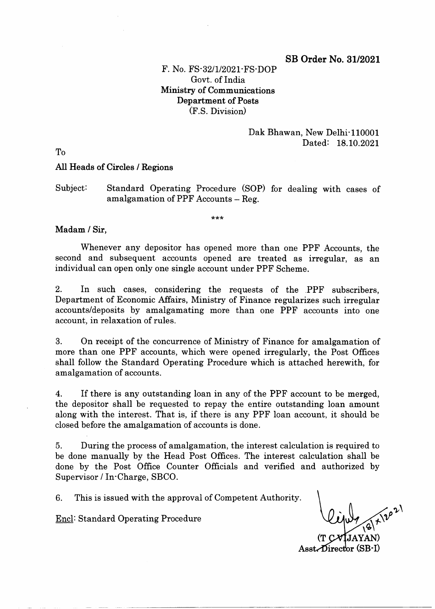## SB Order No. 31/2021

# F. No. FS'32/1/2021'FS'DOP Govt. of India Ministry of Communications Department of Posts (F.s. Division)

## Dak Bhawan, New Delhi<sup>-</sup>110001 Dated: 18.10.2021

To

### All Heads of Circles / Regione

## Subject: Standard Operating Procedure (SOP) for dealing with cases of amalgamation of PPF Accounts  $-$  Reg.

\*\*\*

#### Madam / Sir,

Whenever any depositor has opened more than one PPF Accounts, the second and subsequent accounts opened are treated as irregular, as an individual can open only one single account under PPF Scheme.

2. In such cases, considering the requests of the PPF subscribers, Department of Economic Affairs, Ministry of Finance regularizes such irregular accounts/deposits by amalgamating more than one PPF accounts into one account, in relaxation of rules.

3. On receipt of the concurrence of Ministry of Finance for amalgamation of more than one PPF accounts, which were opened irregularly, the Post Offices shall follow the Standard Operating Procedure which is attached herewith, for amalgamation of accounts.

4. If there is any outstanding loan in any of the PPF account to be merged, the depositor shall be requested to repay the entire outstanding loan amount along with the interest. That is, if there is any PPF loan account, it should be closed before the amalgamation of accounts is done.

5. During the process of amalgamation, the interest calculation is required to be done manually by the Head Post Offices. The interest calculation shall be done by the Post Office Counter Officials and verified and authorized by Supervisor / In'Charge, SBCO.

6. This is issued with the approval of Competent Authority.

Encl: Standard Operating Procedure

f  $\mathbf{I}$ (T  $\text{A}$ sst $\blacktriangle$ Director (SB-I)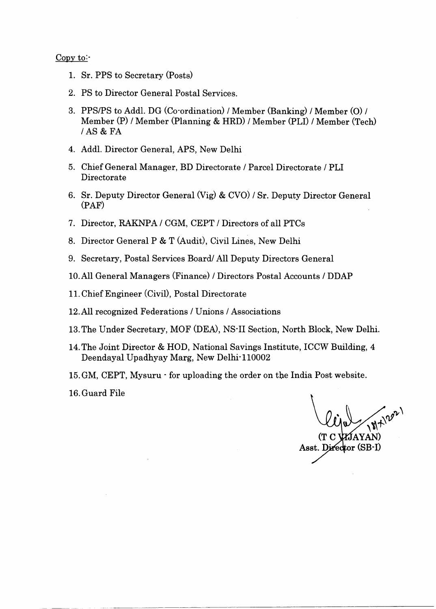#### Copy to:-

- 1. Sr. PPS to Secretary (Posts)
- 2. PS to Director General Postal Services.
- 3. PPS/PS to AddI. DG (Co'ordination) / Member (Banking) / Member (O) / Member (P) / Member (Planning & HRD) / Member (PLI) / Member (Tech) /AS & FA
- 4. Addl. Director General, APS, New Delhi
- 5. Chief General Manager, BD Directorate / Parcel Directorate / PLI Directorate
- 6. Sr. Deputy Director General (Vig) & CVO) / Sr. Deputy Director General (PAF)
- 7. Director, RAKNPA / CGM, CEPT / Directors of all PTCs
- 8. Director General P & T (Audit), Civil Lines, New Delhi
- 9. Secretary, Postal Services Board/ All Deputy Directors General
- 10.All General Managers (Finance) / Directors Postal Accounts / DDAP
- <sup>1</sup>1. Chief Engineer (CiviD, Postal Directorate
- 12.All recognized Federations / Unions / Associations
- 13. The Under Secretary, MOF (DEA), NS-II Section, North Block, New Delhi.
- 14.The Joint Director & HOD, National Savings Institute, ICCW Buildine, 4 Deendayal Upadhyay Marg, New Delhi'110002
- 15.GM, CEPT, Mysuru' for uploading the order on the India Post website.

16.Guard File

(T C (AYAN

Asst. Director (SB-I)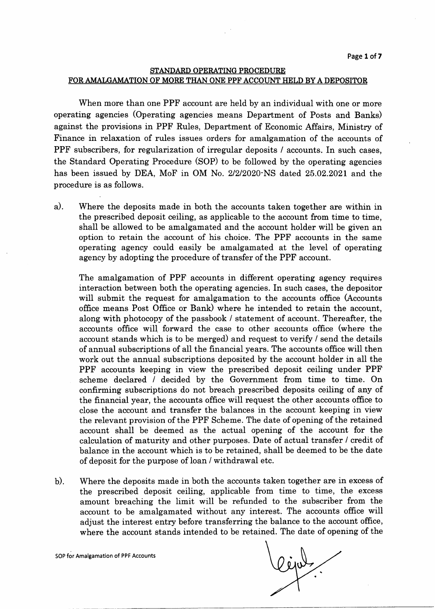## STANDARD OPERATING PROCEDURE FOR AMALGAMATION OF MORE THAN ONE PPF ACCOUNT HELD BY A DEPOSITOR

When more than one PPF account are held by an individual with one or more operating agencies (Operating agencies means Department of Posts and Bankg) against the provisions in PPF Rules, Department of Economic Affairs, Ministry of Finance in relaxation of rules issues orders for amalgamation of the accounts of PPF subscribers, for regularization of irregular deposits / accounts. In such cases, the Standard Operating Procedure (SOP) to be followed by the operating agencies has been issued by DEA, MoF in OM No. 2/2/2020 NS dated 25.02.2021 and the procedure is ag follows.

a) Where the deposits made in both the accounts taken together are within in the prescribed deposit ceiling, as applicable to the account from time to time, shall be allowed to be amalgamated and the account holder will be given an option to retain the account of his choice. The PPF accounts in the same operating agency could easily be amalgamated at the level of operating agency by adopting the procedure of transfer of the PPF account.

The amalgamation of PPF accounts in different operating agency requires interaction between both the operating agencies. In such cases, the depositor will submit the request for amalgamation to the accounts office (Accounts offrce means Post Office or Bank) where he intended to retain the account, along with photocopy of the passbook / statement of account. Thereafter, the accounts office will forward the case to other accounts office (where the account stands which is to be merged) and request to verify / send the details of annual subscriptions of all the financial years. The accounts office will then work out the annual subscriptions deposited by the account holder in all the PPF accounts keeping in view the prescribed deposit ceiling under PPF scheme declared / decided by the Government from time to time. On confrrming subscriptions do not breach prescribed deposits ceiling of any of the financial year, the accounts office will request the other accounts office to close the account and transfer the balances in the account keeping in view the relevant provision of the PPF Scheme. The date of opening of the retained account shall be deemed as the actual opening of the account for the calculation of maturity and other puryoses. Date of actual transfer / credit of balance in the account which is to be retained, shall be deemed to be the date of deposit for the purpose of loan / withdrawal etc.

Where the deposits made in both the accounts taken together are in excess of the prescribed deposit ceiling, applicable from time to time, the excess amount breaching the limit will be refunded to the gubscriber from the account to be amalgamated without any interest. The accounts office will adjust the interest entry before transferring the balance to the account office, where the account stands intended to be retained. The date of opening of the  $b$ ).

lejal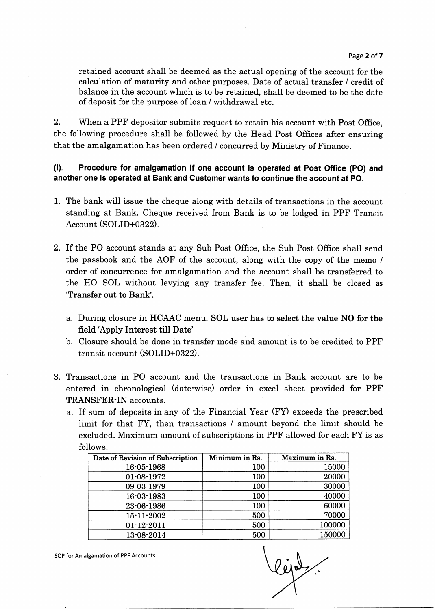retained account shall be deemed as the actual opening of the account for the calculation of maturity and other purposes. Date of actual transfer / credit of balance in the account which is to be retained, shall be deemed to be the date of deposit for the purpose of loan / withdrawal etc.

2. When a PPF depositor submits request to retain his account with Post Office, the following procedure shall be followed by the Head Post Offices after ensuring that the amalgamation has been ordered / concurred by Ministry of Finance.

(l). Procedure for amalgamation if one account is operated at Post Office (PO) and another one is operated at Bank and Customer wants to continue the account at PO.

- 1. The bank will issue the cheque along with details of transactions in the account standing at Bank. Cheque received from Bank is to be lodged in PPF Transit Account (SOLID+0322).
- 2. If the PO account stands at any Sub Post Office, the Sub Post Office shall send the passbook and the AOF of the account, along with the copy of the memo / order of concurrence for amalgamation and the account shall be transferred to the HO SOL without levying any transfer fee. Then, it shall be closed as 'Transfer out to Bank'.
	- a. During closure in HCAAC menu, SOL user has to select the value NO for the field 'Apply Interest till Date'
	- b. Closure should be done in transfer mode and amount is to be credited to PPF transit account (SOLID+0322).
- 3. Transactions in PO account and the transactions in Bank account are to be entered in chronological (date'wise) order in excel sheet provided for PPF TRANSFER'IN accounts.
	- a. If sum of deposits in any of the Financial Year (FY) exceeds the prescribed limit for that FY, then transactions / amount beyond the limit should be excluded. Maximum amount of subscriptions in PPF allowed for each FY is as follows.

| Date of Revision of Subscription | Minimum in Rs. | Maximum in Rs. |
|----------------------------------|----------------|----------------|
| 16-05-1968                       | 100            | 15000          |
| $01 - 08 - 1972$                 | 100            | 20000          |
| 09-03-1979                       | 100            | 30000          |
| 16-03-1983                       | 100            | 40000          |
| $23 - 06 - 1986$                 | 100            | 60000          |
| $15 - 11 - 2002$                 | 500            | 70000          |
| $01 - 12 - 2011$                 | 500            | 100000         |
| 13-08-2014                       | 500            | 150000         |

t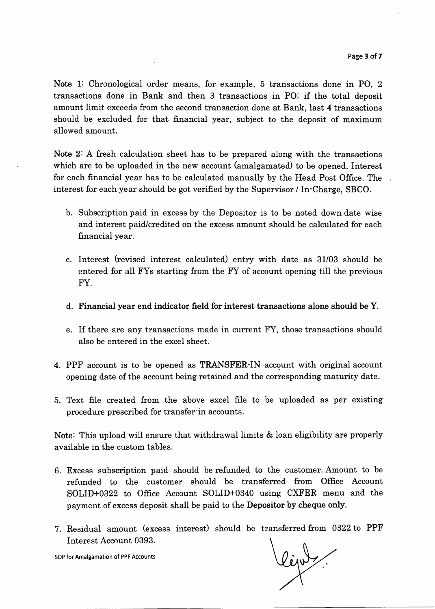Note 1: Chronological order means, for example, 5 transactions done in PO, 2 transactions done in Bank and then 3 transactions in PO; if the total deposit amount limit exceeds from the second transaction done at Bank, last 4 transactions should be excluded for that financial year, subject to the deposit of maximum allowed amount.

Note 2: A fresh calculation sheet has to be prepared along with the transactions which are to be uploaded in the new account (amalgamated) to be opened. Interest for each financial year has to be calculated manually by the Head Post Office. The interest for each year should be got verified by the Supervisor / In'Charge, SBCO.

- b. Subscription paid in excess by the Depositor is to be noted down date wise and interest paid/credited on the excess amount should be calculated for each financial year.
- c. Interest (revised interest calculated) entry with date as 31/03 should be entered for all FYs starting from the FY of account opening till the previous FY.
- d. Financial year end indicator field for interest transactions alone should be Y.
- e. If there are any transactions made in current FY, those transactions should also be entered in the excel sheet.
- 4. PPF account is to be opened as TRANSFER'IN account with original account opening date of the account being retained and the corresponding maturity date.
- 5. Text fiIe created from the above excel file to be uploaded as per existing procedure prescribed for transferin accounts.

Note: This upload will ensure that withdrawal limits & loan eligibility are properly available in the custom tables.

- 6. Excess subscription paid should be refunded to the customer. Amount to be refunded to the customer should be transferred from Office Account SOLID+0322 to Office Account SOLID+0340 using CXFER menu and the payment of excess deposit shall be paid to the Depositor by cheque only.
- 7. Residual amount (excess interest) should be transferred from 0322 to PPF Interest Account 0393.

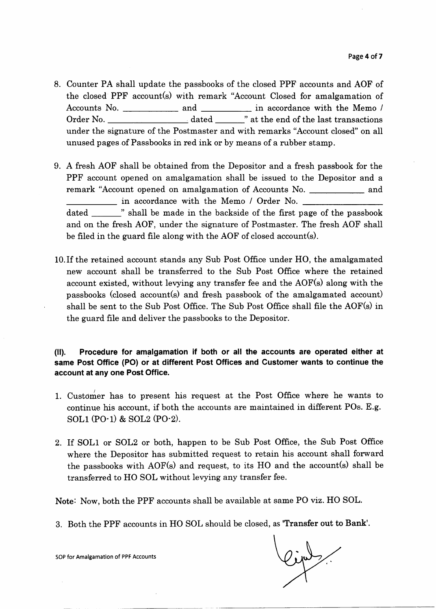- 8. Counter PA shall update the passbooks of the closed PPF accounts and AOF of the closed PPF account(s) with remark "Account Closed for amalgamation of Accounts No. and in accordance with the Memo /  $\hbox{Order No.} \begin{tabular}{l} \hline \textbf{Order No.} \end{tabular} \begin{tabular}{l} \hline \textbf{Order No.} \end{tabular} \end{tabular} \begin{tabular}{l} \hline \textbf{Order No.} \end{tabular} \end{tabular} \end{tabular} \begin{tabular}{l} \hline \textbf{Order No.} \end{tabular} \end{tabular} \end{tabular} \end{tabular} \label{table:1}$ under the signature of the Postmaster and with remarks "Account closed" on all unused pages of Passbooks in red ink or by means of a rubber stamp.
- 9. A freeh AOF shall be obtained from the Depositor and a fresh passbook for the PPF account opened on amalgamation shall be issued to the Depositor and a remark "Account opened on amalgamation of Accounts No. \_\_\_\_\_\_\_\_\_\_\_ and in accordance with the Memo / Order No. dated \_\_\_\_\_\_\_" shall be made in the backside of the first page of the passbook be filed in the guard file along with the AOF of closed account(s) and on the fresh AOF, under the signature of Postmaster. The fresh AOF shall
- l0.Ifthe retained account stands any Sub Post Office under HO, the amalgamated new account shall be transferred to the Sub Post Office where the retained account existed, without levying any transfer fee and the AOF(s) along with the passbooks (closed account(s) and fresh passbook of the amalgamated account) shall be sent to the Sub Post Office. The Sub Post Office shall file the AOF(s) in the guard file and deliver the passbooks to the Depositor.

00. Procedure for amalgamation if both or all the accounts are operated either at same Post Office (PO) or at different Post Offices and Customer wants to continue the account at any one Post Office.

- 1. Customer has to present his request at the Post Office where he wants to continue his account, if both the accounts are maintained in different POs. E.g. sol.l (PO-1) & SOL2 (PO-2).
- 2. If SOL1 or SOL2 or both, happen to be Sub Post Office, the Sub Post Office where the Depositor has submitted request to retain his account shall forward the passbooks with AOF(s) and request, to its HO and the account(s) shall be transferred to HO SOL without levying any transfer fee.

Note: Now, both the PPF accounts shall be available at same PO viz. HO SOL.

3. Both the PPF accounts in HO SOL should be closed, as 'Transfer out to Bank'.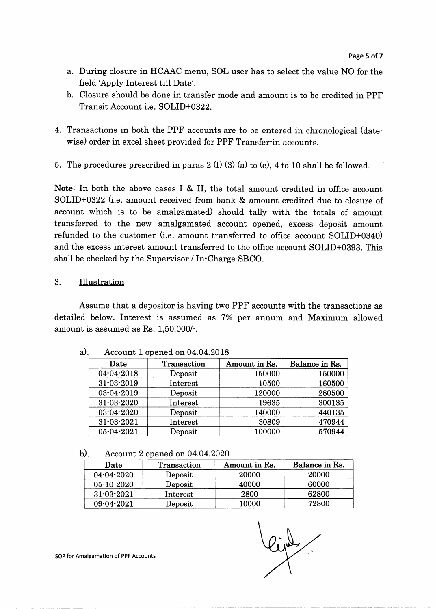- a. During closure in HCAAC menu, SOL user has to select the value NO for the field'Apply Interest till Date'.
- b. Closure should be done in transfer mode and amount is to be credited in PPF Transit Account i.e. SOLID+0322.
- 4. Transactions in both the PPF accounts are to be entered in chronological (datewise) order in excel sheet provided for PPF Transferin accounts.
- 5. The procedures prescribed in paras  $2 \pi (1) (3) (a)$  to (e), 4 to 10 shall be followed.

Note: In both the above cases I & II, the total amount credited in office account SOLID+0322 (i.e. amount received from bank & amount credited due to closure of account which is to be amalgamated) should tally with the totals of amount transferred to the new amalgamated account opened, excess deposit amount refunded to the customer (i.e. amount transferred to office account SOLID+0340) and the excess interest amount transferred to the office account SOLID+0393. This shall be checked by the Supervisor / In-Charge SBCO.

#### 3. Illustration

Assume that a depositor is having two PPF accounts with the transactions as detailed below. Interest is assumed as 7% per annum and Maximum allowed amount is assumed as Rs. 1,50,000/'.

| Date             | Transaction | Amount in Rs. | Balance in Rs. |
|------------------|-------------|---------------|----------------|
| 04-04-2018       | Deposit     | 150000        | 150000         |
| $31 - 03 - 2019$ | Interest    | 10500         | 160500         |
| 03-04-2019       | Deposit     | 120000        | 280500         |
| 31-03-2020       | Interest    | 19635         | 300135         |
| 03-04-2020       | Deposit     | 140000        | 440135         |
| $31 - 03 - 2021$ | Interest    | 30809         | 470944         |
| $05 - 04 - 2021$ | Deposit     | 100000        | 570944         |

a). Account 1 opened on 04.04.2018

b). Account 2 opened on 04.04.2020

| Date             | <b>Transaction</b>               | Amount in Rs. | Balance in Rs. |
|------------------|----------------------------------|---------------|----------------|
| $04 - 04 - 2020$ | Deposit                          | 20000         | 20000          |
| $05 - 10 - 2020$ | $\boldsymbol{\mathrm{D}}$ eposit | 40000         | 60000          |
| $31 - 03 - 2021$ | Interest                         | 2800          | 62800          |
| $09 - 04 - 2021$ | $\boldsymbol{\mathrm{Deposit}}$  | 10000         | 72800          |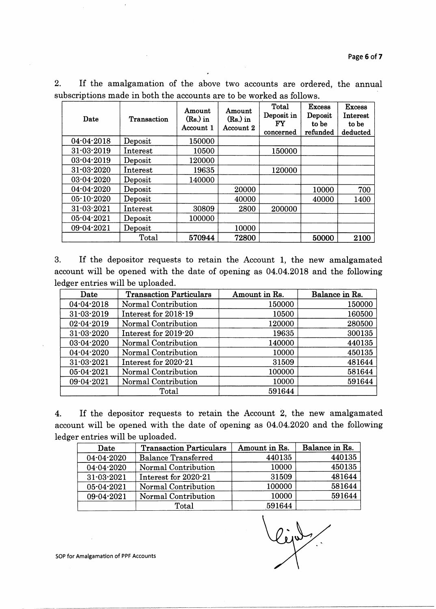| Date             | Transaction | Amount<br>$(Rs)$ in<br>Account 1 | Amount<br>$(Rs)$ in<br>Account 2 | Total<br>Deposit in<br>$_{\rm FY}$<br>concerned | <b>Excess</b><br>Deposit<br>to be<br>refunded | <b>Excess</b><br>Interest<br>to be<br>deducted |
|------------------|-------------|----------------------------------|----------------------------------|-------------------------------------------------|-----------------------------------------------|------------------------------------------------|
| $04 - 04 - 2018$ | Deposit     | 150000                           |                                  |                                                 |                                               |                                                |
| $31 - 03 - 2019$ | Interest    | 10500                            |                                  | 150000                                          |                                               |                                                |
| $03 - 04 - 2019$ | Deposit     | 120000                           |                                  |                                                 |                                               |                                                |
| $31 - 03 - 2020$ | Interest    | 19635                            |                                  | 120000                                          |                                               |                                                |
| 03-04-2020       | Deposit     | 140000                           |                                  |                                                 |                                               |                                                |
| 04-04-2020       | Deposit     |                                  | 20000                            |                                                 | 10000                                         | 700                                            |
| $05 - 10 - 2020$ | Deposit     |                                  | 40000                            |                                                 | 40000                                         | 1400                                           |
| $31 - 03 - 2021$ | Interest    | 30809                            | 2800                             | 200000                                          |                                               |                                                |
| 05-04-2021       | Deposit     | 100000                           |                                  |                                                 |                                               |                                                |
| $09 - 04 - 2021$ | Deposit     |                                  | 10000                            |                                                 |                                               |                                                |
|                  | Total       | 570944                           | 72800                            |                                                 | 50000                                         | 2100                                           |

2. If the amalgamation of the above two accounts are ordered, the annual subscriptions made in both the accounts are to be worked as follows.

3. If the depositor requests to retain the Account 1, the new amalgamated account will be opened with the date of opening as 04.04.2018 and the following ledger entries will be uploaded.

| Date             | <b>Transaction Particulars</b> | Amount in Rs. | Balance in Rs. |
|------------------|--------------------------------|---------------|----------------|
| $04 - 04 - 2018$ | Normal Contribution            | 150000        | 150000         |
| $31 - 03 - 2019$ | Interest for 2018-19           | 10500         | 160500         |
| $02 - 04 - 2019$ | Normal Contribution            | 120000        | 280500         |
| $31 - 03 - 2020$ | Interest for 2019-20           | 19635         | 300135         |
| 03-04-2020       | Normal Contribution            | 140000        | 440135         |
| 04-04-2020       | Normal Contribution            | 10000         | 450135         |
| 31-03-2021       | Interest for 2020-21           | 31509         | 481644         |
| $05 - 04 - 2021$ | Normal Contribution            | 100000        | 581644         |
| 09-04-2021       | Normal Contribution            | 10000         | 591644         |
|                  | Total                          | 591644        |                |

4. If the depositor requests to retain the Account 2, the new amalgamated account will be opened with the date of opening as 04.04.2020 and the following ledger entries will be uploaded.

| Date             | <b>Transaction Particulars</b> | Amount in Rs. | Balance in Rs. |
|------------------|--------------------------------|---------------|----------------|
| 04-04-2020       | <b>Balance Transferred</b>     | 440135        | 440135         |
| 04-04-2020       | Normal Contribution            | 10000         | 450135         |
| $31 - 03 - 2021$ | Interest for 2020-21           | 31509         | 481644         |
| 05-04-2021       | Normal Contribution            | 100000        | 581644         |
| 09-04-2021       | Normal Contribution            | 10000         | 591644         |
|                  | Total                          | 591644        |                |

lipt.